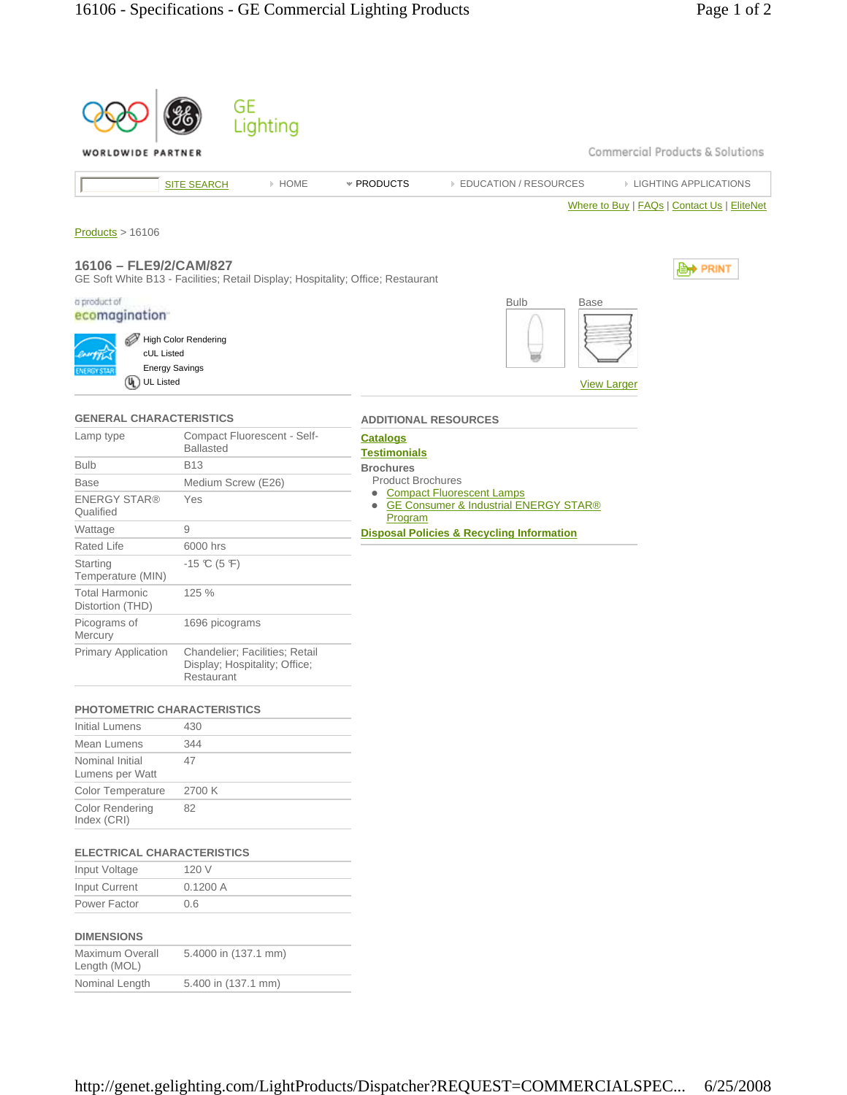| WORLDWIDE PARTNER                                                                                    | GE<br>Lighting                                                                  | Commercial Products & Solutions                                            |
|------------------------------------------------------------------------------------------------------|---------------------------------------------------------------------------------|----------------------------------------------------------------------------|
|                                                                                                      |                                                                                 |                                                                            |
|                                                                                                      | > HOME<br><b>SITE SEARCH</b>                                                    | * PRODUCTS<br><b>EDUCATION / RESOURCES</b><br><b>EIGHTING APPLICATIONS</b> |
| Products > 16106<br>16106 - FLE9/2/CAM/827                                                           | GE Soft White B13 - Facilities; Retail Display; Hospitality; Office; Restaurant | Where to Buy   FAQs   Contact Us   EliteNet<br><b><u> ⊜</u>† PRINT</b>     |
| a product of<br>ecomagination<br>cUL Listed<br><b>Energy Savings</b><br>$\omega$<br><b>UL Listed</b> | <b>High Color Rendering</b>                                                     | <b>Bulb</b><br><b>Base</b><br><b>View Larger</b>                           |
| <b>GENERAL CHARACTERISTICS</b>                                                                       |                                                                                 | <b>ADDITIONAL RESOURCES</b>                                                |
| Lamp type                                                                                            | Compact Fluorescent - Self-<br><b>Ballasted</b>                                 | <u>Catalogs</u><br><b>Testimonials</b>                                     |
| <b>Bulb</b>                                                                                          | <b>B13</b>                                                                      | <b>Brochures</b>                                                           |
| <b>Base</b>                                                                                          | Medium Screw (E26)                                                              | <b>Product Brochures</b><br><b>Compact Fluorescent Lamps</b>               |
| <b>ENERGY STAR®</b><br>Qualified                                                                     | Yes                                                                             | <b>GE Consumer &amp; Industrial ENERGY STAR®</b><br>$\bullet$<br>Program   |
| Wattage                                                                                              | 9                                                                               | <b>Disposal Policies &amp; Recycling Information</b>                       |
| Rated Life                                                                                           | 6000 hrs                                                                        |                                                                            |
| Starting<br>Temperature (MIN)                                                                        | $-15 \text{ C} (5 \text{ F})$                                                   |                                                                            |
| <b>Total Harmonic</b><br>Distortion (THD)                                                            | 125 %                                                                           |                                                                            |
| Picograms of<br><b>Mercury</b>                                                                       | 1696 picograms                                                                  |                                                                            |
| <b>Primary Application</b>                                                                           | Chandelier; Facilities; Retail<br>Display; Hospitality; Office;<br>Restaurant   |                                                                            |
| PHOTOMETRIC CHARACTERISTICS                                                                          |                                                                                 |                                                                            |
| <b>Initial Lumens</b>                                                                                | 430                                                                             |                                                                            |
| Mean Lumens                                                                                          | 344                                                                             |                                                                            |
| Nominal Initial<br>Lumens per Watt                                                                   | 47                                                                              |                                                                            |
| Color Temperature                                                                                    | 2700 K                                                                          |                                                                            |
| <b>Color Rendering</b><br>Index (CRI)                                                                | 82                                                                              |                                                                            |
| <b>ELECTRICAL CHARACTERISTICS</b>                                                                    |                                                                                 |                                                                            |
| Input Voltage                                                                                        | 120 V                                                                           |                                                                            |
| Input Current                                                                                        | 0.1200 A                                                                        |                                                                            |
| Power Factor                                                                                         | 0.6                                                                             |                                                                            |
| <b>DIMENSIONS</b><br>Maximum Overall                                                                 | 5.4000 in (137.1 mm)                                                            |                                                                            |
| Length (MOL)<br>Nominal Length                                                                       | 5.400 in (137.1 mm)                                                             |                                                                            |